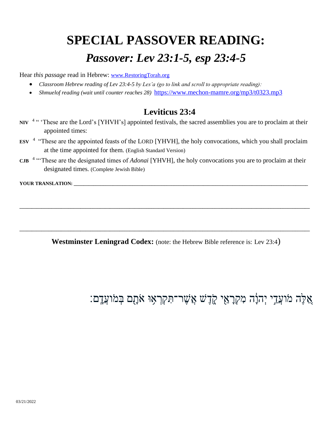## **SPECIAL PASSOVER READING:**  *Passover: Lev 23:1-5, esp 23:4-5*

Hear *this passage* read in Hebrew: [www.RestoringTorah.org](http://www.restoringtorah.org/)

- *Classroom Hebrew reading of Lev 23:4-5 by Les'a (go to link and scroll to appropriate reading):*
- *Shmuelof reading (wait until counter reaches 28)* <https://www.mechon-mamre.org/mp3/t0323.mp3>

## **Leviticus 23:4**

- NIV <sup>4 "</sup> These are the Lord's [YHVH's] appointed festivals, the sacred assemblies you are to proclaim at their appointed times:
- **ESV** <sup>4</sup> "These are the appointed feasts of the LORD [YHVH], the holy convocations, which you shall proclaim at the time appointed for them. (English Standard Version)
- **CJB**  4 "'These are the designated times of *Adonai* [YHVH], the holy convocations you are to proclaim at their designated times. (Complete Jewish Bible)

YOUR TRANSLATION:

**Westminster Leningrad Codex:** (note: the Hebrew Bible reference is: Lev 23:4)

**\_\_\_\_\_\_\_\_\_\_\_\_\_\_\_\_\_\_\_\_\_\_\_\_\_\_\_\_\_\_\_\_\_\_\_\_\_\_\_\_\_\_\_\_\_\_\_\_\_\_\_\_\_\_\_\_\_\_\_\_\_\_\_\_\_\_\_\_\_\_\_\_\_\_\_\_\_\_\_\_\_\_\_\_\_\_\_\_\_\_\_\_\_\_\_\_\_\_\_\_\_\_\_\_\_\_\_\_\_\_\_\_\_\_\_\_\_\_\_**

**\_\_\_\_\_\_\_\_\_\_\_\_\_\_\_\_\_\_\_\_\_\_\_\_\_\_\_\_\_\_\_\_\_\_\_\_\_\_\_\_\_\_\_\_\_\_\_\_\_\_\_\_\_\_\_\_\_\_\_\_\_\_\_\_\_\_\_\_\_\_\_\_\_\_\_\_\_\_\_\_\_\_\_\_\_\_\_\_\_\_\_\_\_\_\_\_\_\_\_\_\_\_\_\_\_\_\_\_\_\_\_\_\_\_\_\_\_\_\_**

ָאֵלֶּה מֹועֲדֵי יְהוָׂה מִקְרָאֵי קֶדֶשׁ אֲשֶׁר־תִּקְרָאִוּ אֹתָם בְּמֹועֲדָָם: